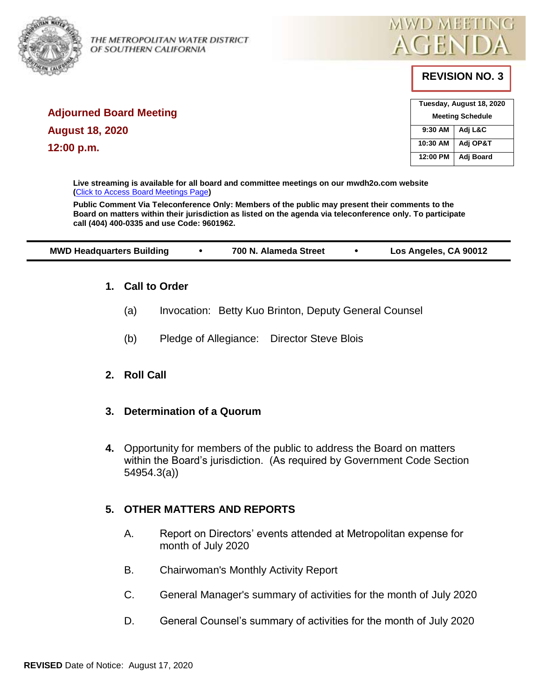

THE METROPOLITAN WATER DISTRICT<br>OF SOUTHERN CALIFORNIA OF SOUTHERN CALIFORNIA



# **REVISION NO. 3**

| Tuesday, August 18, 2020 |           |  |
|--------------------------|-----------|--|
| <b>Meeting Schedule</b>  |           |  |
| 9:30 AM                  | Adj L&C   |  |
| 10:30 AM                 | Adj OP&T  |  |
| 12:00 PM                 | Adj Board |  |

**Adjourned Board Meeting August 18, 2020 12:00 p.m.** 

> **Live streaming is available for all board and committee meetings on our mwdh2o.com website (**[Click to Access Board Meetings Page](http://www.mwdh2o.com/WhoWeAre/Board/Board-Meeting/Pages/default.aspx)**)**

**Public Comment Via Teleconference Only: Members of the public may present their comments to the Board on matters within their jurisdiction as listed on the agenda via teleconference only. To participate call (404) 400-0335 and use Code: 9601962.**

| <b>MWD Headquarters Building</b> | 700 N. Alameda Street | Los Angeles, CA 90012 |
|----------------------------------|-----------------------|-----------------------|
|                                  |                       |                       |

## **1. Call to Order**

- (a) Invocation: Betty Kuo Brinton, Deputy General Counsel
- (b) Pledge of Allegiance: Director Steve Blois

## **2. Roll Call**

## **3. Determination of a Quorum**

**4.** Opportunity for members of the public to address the Board on matters within the Board's jurisdiction. (As required by Government Code Section 54954.3(a))

## **5. OTHER MATTERS AND REPORTS**

- A. Report on Directors' events attended at Metropolitan expense for month of July 2020
- B. Chairwoman's Monthly Activity Report
- C. General Manager's summary of activities for the month of July 2020
- D. General Counsel's summary of activities for the month of July 2020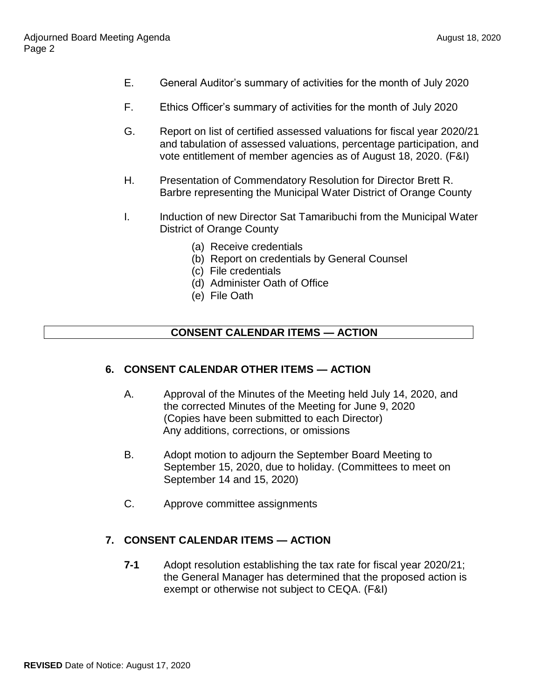- E. General Auditor's summary of activities for the month of July 2020
- F. Ethics Officer's summary of activities for the month of July 2020
- G. Report on list of certified assessed valuations for fiscal year 2020/21 and tabulation of assessed valuations, percentage participation, and vote entitlement of member agencies as of August 18, 2020. (F&I)
- H. Presentation of Commendatory Resolution for Director Brett R. Barbre representing the Municipal Water District of Orange County
- I. Induction of new Director Sat Tamaribuchi from the Municipal Water District of Orange County
	- (a) Receive credentials
	- (b) Report on credentials by General Counsel
	- (c) File credentials
	- (d) Administer Oath of Office
	- (e) File Oath

### **CONSENT CALENDAR ITEMS — ACTION**

### **6. CONSENT CALENDAR OTHER ITEMS — ACTION**

- A. Approval of the Minutes of the Meeting held July 14, 2020, and the corrected Minutes of the Meeting for June 9, 2020 (Copies have been submitted to each Director) Any additions, corrections, or omissions
- B. Adopt motion to adjourn the September Board Meeting to September 15, 2020, due to holiday. (Committees to meet on September 14 and 15, 2020)
- C. Approve committee assignments

### **7. CONSENT CALENDAR ITEMS — ACTION**

**7-1** Adopt resolution establishing the tax rate for fiscal year 2020/21; the General Manager has determined that the proposed action is exempt or otherwise not subject to CEQA. (F&I)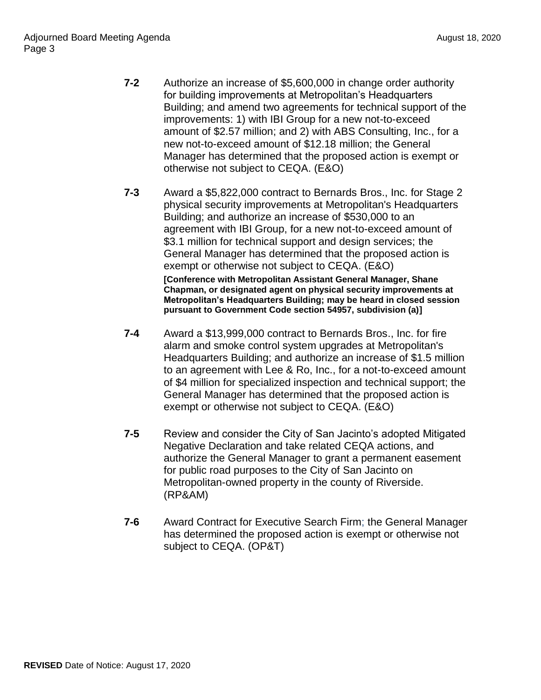- **7-2** Authorize an increase of \$5,600,000 in change order authority for building improvements at Metropolitan's Headquarters Building; and amend two agreements for technical support of the improvements: 1) with IBI Group for a new not-to-exceed amount of \$2.57 million; and 2) with ABS Consulting, Inc., for a new not-to-exceed amount of \$12.18 million; the General Manager has determined that the proposed action is exempt or otherwise not subject to CEQA. (E&O)
- **7-3** Award a \$5,822,000 contract to Bernards Bros., Inc. for Stage 2 physical security improvements at Metropolitan's Headquarters Building; and authorize an increase of \$530,000 to an agreement with IBI Group, for a new not-to-exceed amount of \$3.1 million for technical support and design services; the General Manager has determined that the proposed action is exempt or otherwise not subject to CEQA. (E&O) **[Conference with Metropolitan Assistant General Manager, Shane Chapman, or designated agent on physical security improvements at Metropolitan's Headquarters Building; may be heard in closed session pursuant to Government Code section 54957, subdivision (a)]**
- **7-4** Award a \$13,999,000 contract to Bernards Bros., Inc. for fire alarm and smoke control system upgrades at Metropolitan's Headquarters Building; and authorize an increase of \$1.5 million to an agreement with Lee & Ro, Inc., for a not-to-exceed amount of \$4 million for specialized inspection and technical support; the General Manager has determined that the proposed action is exempt or otherwise not subject to CEQA. (E&O)
- **7-5** Review and consider the City of San Jacinto's adopted Mitigated Negative Declaration and take related CEQA actions, and authorize the General Manager to grant a permanent easement for public road purposes to the City of San Jacinto on Metropolitan-owned property in the county of Riverside. (RP&AM)
- **7-6** Award Contract for Executive Search Firm; the General Manager has determined the proposed action is exempt or otherwise not subject to CEQA. (OP&T)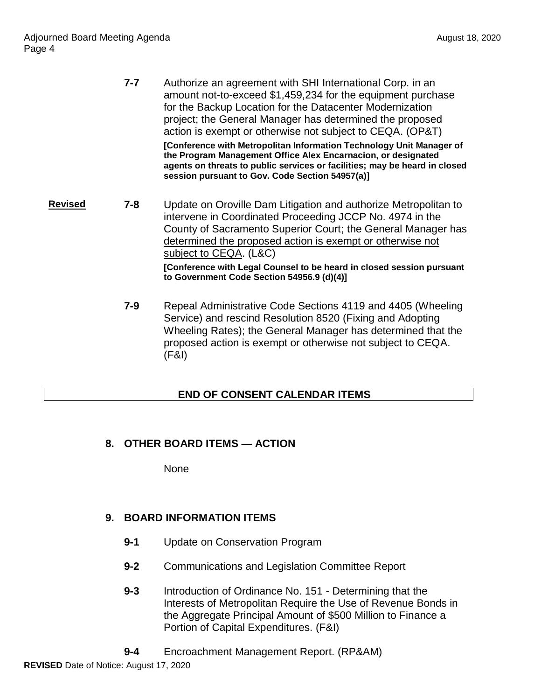|         | $7 - 7$ | Authorize an agreement with SHI International Corp. in an<br>amount not-to-exceed \$1,459,234 for the equipment purchase<br>for the Backup Location for the Datacenter Modernization<br>project; the General Manager has determined the proposed<br>action is exempt or otherwise not subject to CEQA. (OP&T)<br>[Conference with Metropolitan Information Technology Unit Manager of<br>the Program Management Office Alex Encarnacion, or designated<br>agents on threats to public services or facilities; may be heard in closed<br>session pursuant to Gov. Code Section 54957(a)] |
|---------|---------|-----------------------------------------------------------------------------------------------------------------------------------------------------------------------------------------------------------------------------------------------------------------------------------------------------------------------------------------------------------------------------------------------------------------------------------------------------------------------------------------------------------------------------------------------------------------------------------------|
| Revised | $7 - 8$ | Update on Oroville Dam Litigation and authorize Metropolitan to<br>intervene in Coordinated Proceeding JCCP No. 4974 in the<br>County of Sacramento Superior Court; the General Manager has<br>determined the proposed action is exempt or otherwise not<br>subject to CEQA. (L&C)<br>[Conference with Legal Counsel to be heard in closed session pursuant<br>to Government Code Section 54956.9 (d)(4)]                                                                                                                                                                               |
|         | $7 - 9$ | Repeal Administrative Code Sections 4119 and 4405 (Wheeling<br>Service) and rescind Resolution 8520 (Fixing and Adopting<br>Wheeling Rates); the General Manager has determined that the                                                                                                                                                                                                                                                                                                                                                                                                |

proposed action is exempt or otherwise not subject to CEQA. (F&I)

## **END OF CONSENT CALENDAR ITEMS**

# **8. OTHER BOARD ITEMS — ACTION**

None

# **9. BOARD INFORMATION ITEMS**

- **9-1** Update on Conservation Program
- **9-2** Communications and Legislation Committee Report
- **9-3** Introduction of Ordinance No. 151 Determining that the Interests of Metropolitan Require the Use of Revenue Bonds in the Aggregate Principal Amount of \$500 Million to Finance a Portion of Capital Expenditures. (F&I)
- **9-4** Encroachment Management Report. (RP&AM)